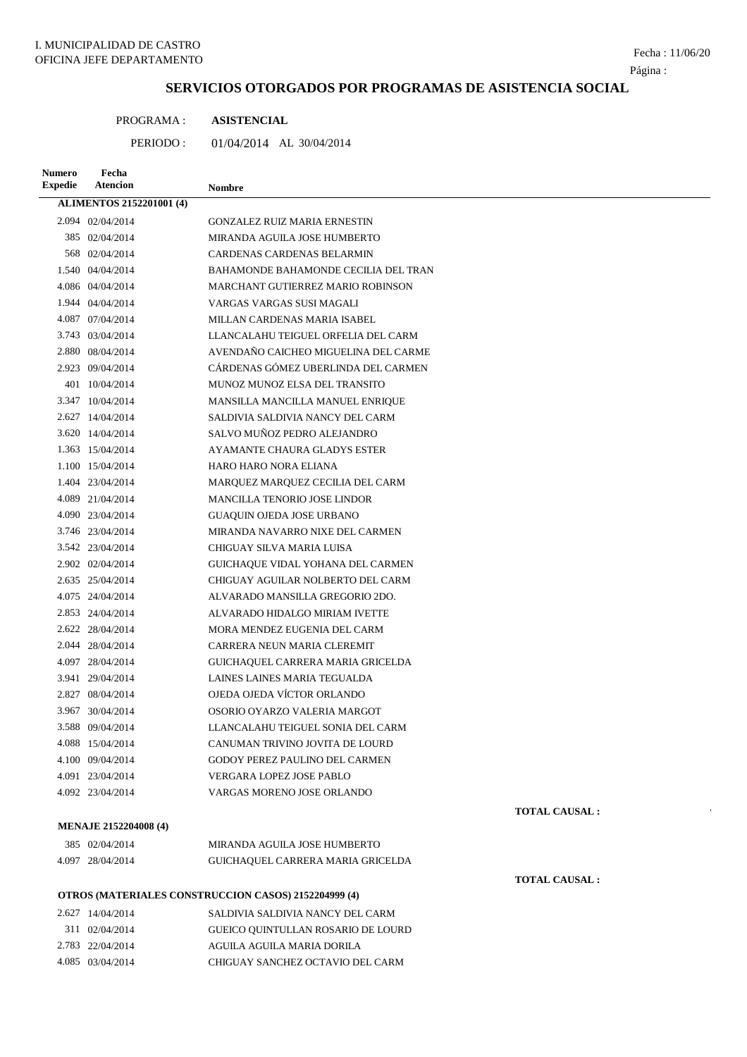## Página :

## **SERVICIOS OTORGADOS POR PROGRAMAS DE ASISTENCIA SOCIAL**

| PROGRAMA : | <b>ASISTENCIAL</b> |
|------------|--------------------|
|            |                    |

PERIODO : 01/04/2014 AL 30/04/2014

| <b>Numero</b><br><b>Expedie</b> | Fecha<br><b>Atencion</b>        | <b>Nombre</b>                                        |
|---------------------------------|---------------------------------|------------------------------------------------------|
|                                 | <b>ALIMENTOS 2152201001 (4)</b> |                                                      |
|                                 | 2.094 02/04/2014                | GONZALEZ RUIZ MARIA ERNESTIN                         |
|                                 | 385 02/04/2014                  | MIRANDA AGUILA JOSE HUMBERTO                         |
|                                 | 568 02/04/2014                  | CARDENAS CARDENAS BELARMIN                           |
|                                 | 1.540 04/04/2014                | BAHAMONDE BAHAMONDE CECILIA DEL TRAN                 |
|                                 | 4.086 04/04/2014                | MARCHANT GUTIERREZ MARIO ROBINSON                    |
|                                 | 1.944 04/04/2014                | VARGAS VARGAS SUSI MAGALI                            |
|                                 | 4.087 07/04/2014                | MILLAN CARDENAS MARIA ISABEL                         |
|                                 | 3.743 03/04/2014                | LLANCALAHU TEIGUEL ORFELIA DEL CARM                  |
|                                 | 2.880 08/04/2014                | AVENDAÑO CAICHEO MIGUELINA DEL CARME                 |
|                                 | 2.923 09/04/2014                | CÁRDENAS GÓMEZ UBERLINDA DEL CARMEN                  |
|                                 | 401 10/04/2014                  | MUNOZ MUNOZ ELSA DEL TRANSITO                        |
|                                 | 3.347 10/04/2014                | MANSILLA MANCILLA MANUEL ENRIQUE                     |
|                                 | 2.627 14/04/2014                | SALDIVIA SALDIVIA NANCY DEL CARM                     |
|                                 | 3.620 14/04/2014                | SALVO MUÑOZ PEDRO ALEJANDRO                          |
|                                 | 1.363 15/04/2014                | AYAMANTE CHAURA GLADYS ESTER                         |
|                                 | 1.100 15/04/2014                | HARO HARO NORA ELIANA                                |
|                                 | 1.404 23/04/2014                | MARQUEZ MARQUEZ CECILIA DEL CARM                     |
|                                 | 4.089 21/04/2014                | <b>MANCILLA TENORIO JOSE LINDOR</b>                  |
|                                 | 4.090 23/04/2014                | GUAQUIN OJEDA JOSE URBANO                            |
|                                 | 3.746 23/04/2014                | MIRANDA NAVARRO NIXE DEL CARMEN                      |
|                                 | 3.542 23/04/2014                | CHIGUAY SILVA MARIA LUISA                            |
|                                 | 2.902 02/04/2014                | GUICHAQUE VIDAL YOHANA DEL CARMEN                    |
|                                 | 2.635 25/04/2014                | CHIGUAY AGUILAR NOLBERTO DEL CARM                    |
|                                 | 4.075 24/04/2014                | ALVARADO MANSILLA GREGORIO 2DO.                      |
|                                 | 2.853 24/04/2014                | ALVARADO HIDALGO MIRIAM IVETTE                       |
|                                 | 2.622 28/04/2014                | MORA MENDEZ EUGENIA DEL CARM                         |
|                                 | 2.044 28/04/2014                | CARRERA NEUN MARIA CLEREMIT                          |
|                                 | 4.097 28/04/2014                | GUICHAQUEL CARRERA MARIA GRICELDA                    |
|                                 | 3.941 29/04/2014                | LAINES LAINES MARIA TEGUALDA                         |
|                                 | 2.827 08/04/2014                | OJEDA OJEDA VÍCTOR ORLANDO                           |
|                                 | 3.967 30/04/2014                | OSORIO OYARZO VALERIA MARGOT                         |
|                                 | 3.588 09/04/2014                | LLANCALAHU TEIGUEL SONIA DEL CARM                    |
|                                 | 4.088 15/04/2014                | CANUMAN TRIVINO JOVITA DE LOURD                      |
|                                 | 4.100 09/04/2014                | GODOY PEREZ PAULINO DEL CARMEN                       |
|                                 | 4.091 23/04/2014                | <b>VERGARA LOPEZ JOSE PABLO</b>                      |
|                                 | 4.092 23/04/2014                | VARGAS MORENO JOSE ORLANDO                           |
|                                 |                                 | <b>TOTAL CAUSAL:</b>                                 |
|                                 | <b>MENAJE 2152204008 (4)</b>    |                                                      |
|                                 | 385 02/04/2014                  | MIRANDA AGUILA JOSE HUMBERTO                         |
|                                 | 4.097 28/04/2014                | GUICHAQUEL CARRERA MARIA GRICELDA                    |
|                                 |                                 | <b>TOTAL CAUSAL:</b>                                 |
|                                 |                                 | OTROS (MATERIALES CONSTRUCCION CASOS) 2152204999 (4) |
|                                 | 2.627 14/04/2014                | SALDIVIA SALDIVIA NANCY DEL CARM                     |
|                                 | 311 02/04/2014                  | GUEICO QUINTULLAN ROSARIO DE LOURD                   |
|                                 | 2.783 22/04/2014                | AGUILA AGUILA MARIA DORILA                           |
|                                 | 4.085 03/04/2014                | CHIGUAY SANCHEZ OCTAVIO DEL CARM                     |
|                                 |                                 |                                                      |